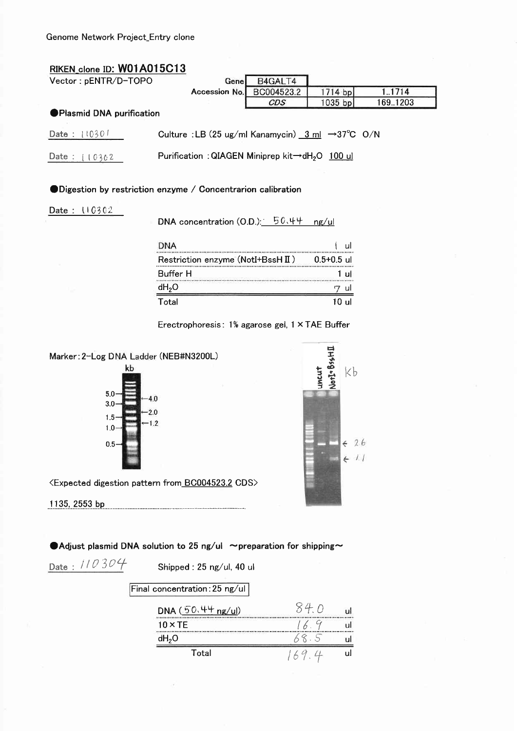| RIKEN_clone ID: W01A015C13      |                                                                                                    |                |          |
|---------------------------------|----------------------------------------------------------------------------------------------------|----------------|----------|
| Vector: pENTR/D-TOPO            | B4GALT4<br>Genel                                                                                   |                |          |
|                                 | Accession No.<br>BC004523.2                                                                        | 1714 bp        | 1.1714   |
|                                 | CDS                                                                                                | $1035$ bp      | 169.1203 |
| <b>Plasmid DNA purification</b> |                                                                                                    |                |          |
| Date: 110301                    | Culture : LB (25 ug/ml Kanamycin) $\frac{3 \text{ ml}}{2 \text{ ml}} \rightarrow 37^{\circ}$ C O/N |                |          |
| Date: $(0362)$                  | Purification: QIAGEN Miniprep kit→dH <sub>2</sub> O 100 ul                                         |                |          |
|                                 |                                                                                                    |                |          |
|                                 |                                                                                                    |                |          |
|                                 |                                                                                                    |                |          |
|                                 | $\blacksquare$ Digestion by restriction enzyme / Concentrarion calibration                         |                |          |
|                                 |                                                                                                    |                |          |
|                                 |                                                                                                    |                |          |
|                                 | DNA concentration $(0.D.):$ 50.44                                                                  | ng/ul          |          |
|                                 | <b>DNA</b>                                                                                         | ul             |          |
|                                 | Restriction enzyme (NotI+BssH II)                                                                  | $0.5 + 0.5$ ul |          |
| Date: $110302$                  | <br>Buffer H                                                                                       | -ul            |          |
|                                 | $dH_{2}O$                                                                                          | ul             |          |
|                                 |                                                                                                    |                |          |
|                                 |                                                                                                    |                |          |
|                                 | Total                                                                                              | 10 ul          |          |

Marker: 2-Log DNA Ladder (NEB#N3200L)





<Expected digestion pattern from BC004523.2 CDS>

● Adjust plasmid DNA solution to 25 ng/ul ~preparation for shipping~

 $\boxed{\mathsf{Final concentration:25 ng/ul}}$ 

J.

Date: //0304

Shipped: 25 ng/ul, 40 ul

| DNA $(50.44 \text{ ng/u})$ |  |
|----------------------------|--|
| $10 \times TE$             |  |
| dH <sub>2</sub> O          |  |
| Total                      |  |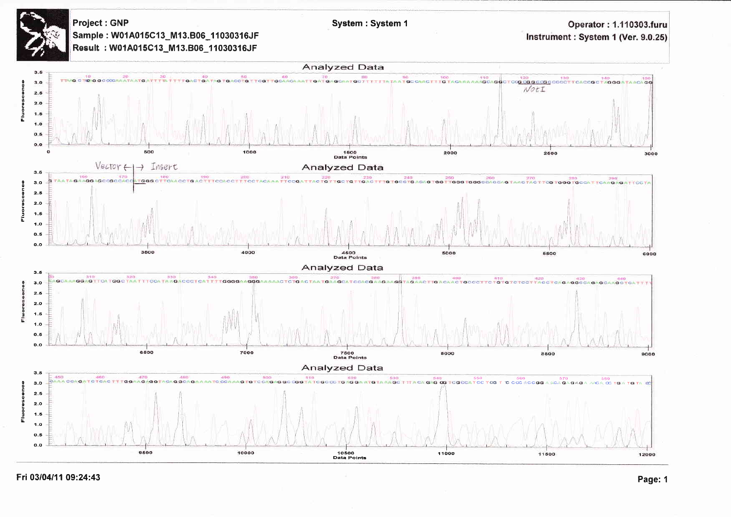**Project: GNP** Sample: W01A015C13\_M13.B06\_11030316JF Result: W01A015C13\_M13.B06\_11030316JF

Operator: 1.110303.furu Instrument : System 1 (Ver. 9.0.25)



System: System 1

Fri 03/04/11 09:24:43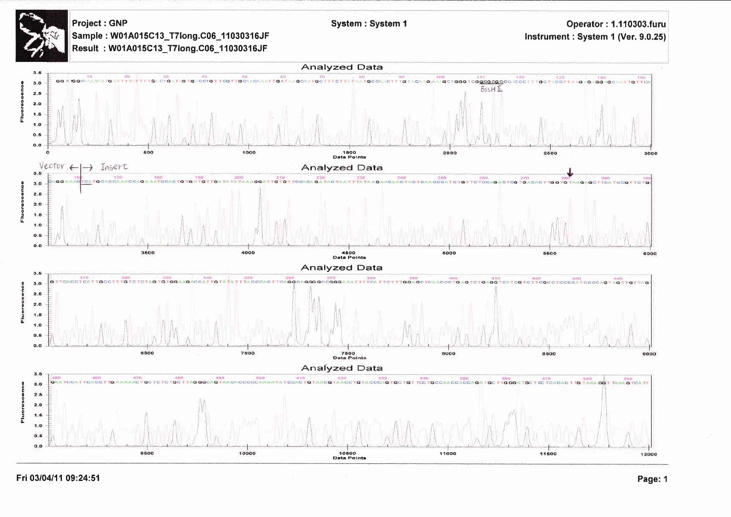Project : GNP Sample: W01A015C13\_T7long.C06\_11030316JF Result: W01A015C13\_T7long.C06\_11030316JF

**Operator: 1.110303.furu** Instrument: System 1 (Ver. 9.0.25)



System: System 1

Fri 03/04/11 09:24:51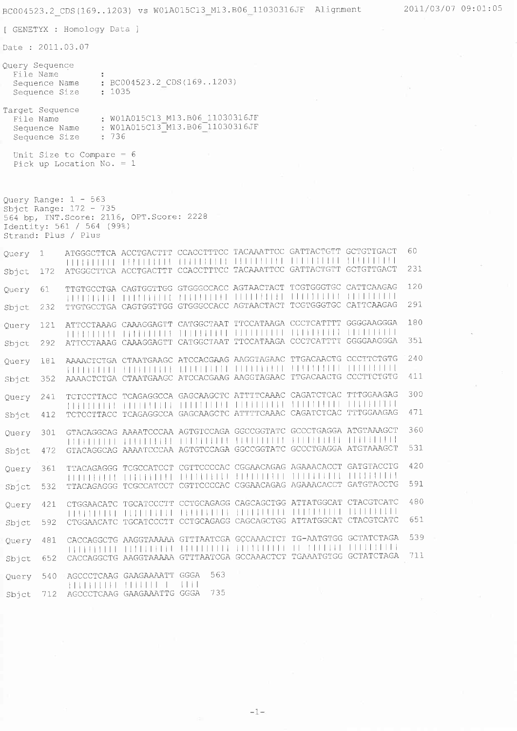[ GENETYX : Homology Data ]

Date: 2011.03.07

| Ouery Sequence                              |                                                |  |
|---------------------------------------------|------------------------------------------------|--|
| File Name<br>Sequence Name<br>Sequence Size | $\therefore$ BC004523.2 CDS(1691203)<br>: 1035 |  |
| Target Sequence<br>File Name                | : W01A015C13 M13.B06 11030316JF                |  |

Sequence Name: W01A015C13\_M13.B06\_11030316JF<br>Sequence Size: : 736

Unit Size to Compare =  $6$ Pick up Location No. =  $1$ 

```
Query Range: 1 - 563<br>Sbjct Range: 172 - 735<br>564 bp, INT.Score: 2116, OPT.Score: 2228<br>Identity: 561 / 564 (99%)<br>Strand: Plus / Plus
```

| Ouery | 1   | ATGGGCTTCA ACCTGACTTT CCACCTTTCC TACAAATTCC GATTACTGTT GCTGTTGACT<br>TELEFITELE TRELLELLE TELEVITER TUTILILILLE TELEVISION STATULILLE                                                                                                                                                                     |             |  |   | 60  |
|-------|-----|-----------------------------------------------------------------------------------------------------------------------------------------------------------------------------------------------------------------------------------------------------------------------------------------------------------|-------------|--|---|-----|
| Sbjct | 172 | ATGGGCTTCA ACCTGACTTT CCACCTTTCC TACAAATTCC GATTACTGTT GCTGTTGACT                                                                                                                                                                                                                                         |             |  |   | 231 |
| Query | 61. | TTGTGCCTGA CAGTGGTTGG GTGGGCCACC AGTAACTACT TCGTGGGTGC CATTCAAGAG<br><b>NUMBER OFFICIAL PRODUCTION OF CONTINUES INTO LET</b>                                                                                                                                                                              |             |  |   | 120 |
| Sbjct | 232 | TTGTGCCTGA CAGTGGTTGG GTGGGCCACC AGTAACTACT TCGTGGGTGC CATTCAAGAG                                                                                                                                                                                                                                         |             |  |   | 291 |
| Query | 121 | ATTCCTAAAG CAAAGGAGTT CATGGCTAAT TTCCATAAGA CCCTCATTTT GGGGAAGGGA<br><b>FEBRUARIE LIBRITILIJE ALIJIJIJIJI ALIJIJIJIJI ELIJIJIJIJI</b>                                                                                                                                                                     |             |  | . | 180 |
| Sbjct | 292 | ATTCCTAAAG CAAAGGAGTT CATGGCTAAT TTCCATAAGA CCCTCATTTT GGGGAAGGGA                                                                                                                                                                                                                                         |             |  |   | 351 |
| Ouery | 181 | AAAACTCTGA CTAATGAAGC ATCCACGAAG AAGGTAGAAC TTGACAACTG CCCTTCTGTG<br><b>FELLER LETTER TELEVISION AND ALL AND AN ANOTHER AND AN ANOTHER POST OF A REPORT OF A REPORT OF A REPORT OF A REPORT OF A REPORT OF A REPORT OF A REPORT OF A REPORT OF A REPORT OF A REPORT OF A REPORT OF A REPORT OF A REPO</b> |             |  |   | 240 |
| Sbjct | 352 | AAAACTCTGA CTAATGAAGC ATCCACGAAG AAGGTAGAAC TTGACAACTG CCCTTCTGTG                                                                                                                                                                                                                                         |             |  |   | 411 |
| Ouerv | 241 | TCTCCTTACC TCAGAGGCCA GAGCAAGCTC ATTTTCAAAC CAGATCTCAC TTTGGAAGAG<br><b>TERRITER FILITELIJE TELEVITEL TELEVITELE FELITIJELE TELEVISIT</b>                                                                                                                                                                 |             |  |   | 300 |
| Sbjct | 412 | TCTCCTTACC TCAGAGGCCA GAGCAAGCTC ATTTTCAAAC CAGATCTCAC TTTGGAAGAG                                                                                                                                                                                                                                         |             |  |   | 471 |
| Query | 301 | GTACAGGCAG AAAATCCCAA AGTGTCCAGA GGCCGGTATC GCCCTGAGGA ATGTAAAGCT<br>TA FATTI TITLE TA LITTLE A LA TELLA LA LA LITTLE LA LITTLE LA LITTLE LA LITTLE LA LITTLE LA LITTLE LA LITTLE L                                                                                                                       |             |  |   | 360 |
| Sbjct | 472 | GTACAGGCAG AAAATCCCAA AGTGTCCAGA GGCCGGTATC GCCCTGAGGA ATGTAAAGCT                                                                                                                                                                                                                                         |             |  |   | 531 |
| Query | 361 | TTACAGAGGG TCGCCATCCT CGTTCCCCAC CGGAACAGAG AGAAACACCT GATGTACCTG                                                                                                                                                                                                                                         |             |  |   | 420 |
| Sbjct | 532 | TTACAGAGGG TCGCCATCCT CGTTCCCCAC CGGAACAGAG AGAAACACCT GATGTACCTG                                                                                                                                                                                                                                         |             |  |   | 591 |
| Ouery | 421 | CTGGAACATC TGCATCCCTT CCTGCAGAGG CAGCAGCTGG ATTATGGCAT CTACGTCATC<br>THE RELEASED FOR THE RELEASED FOR THE RELEASED FOR THE RELEASED FOR THE RELEASED FOR THE RELEASED FOR THE RELEASED FOR THE RELEASED FOR THE RELEASED FOR THE RELEASED FOR THE RELEASED FOR THE RELEASED FOR THE RELEASED FOR T       |             |  |   | 480 |
| Sbict | 592 | CTGGAACATC TGCATCCCTT CCTGCAGAGG CAGCAGCTGG ATTATGGCAT CTACGTCATC                                                                                                                                                                                                                                         |             |  |   | 651 |
| Query | 481 | CACCAGGCTG AAGGTAAAAA GTTTAATCGA GCCAAACTCT TG-AATGTGG GCTATCTAGA                                                                                                                                                                                                                                         |             |  |   | 539 |
| Sbict | 652 | CACCAGGCTG AAGGTAAAAA GTTTAATCGA GCCAAACTCT TGAAATGTGG GCTATCTAGA                                                                                                                                                                                                                                         |             |  |   | 711 |
| Ouery | 540 | AGCCCTCAAG GAAGAAAATT GGGA                                                                                                                                                                                                                                                                                | 563<br>1111 |  |   |     |
| Sbict | 712 | AGCCCTCAAG GAAGAAATTG GGGA                                                                                                                                                                                                                                                                                | 735         |  |   |     |